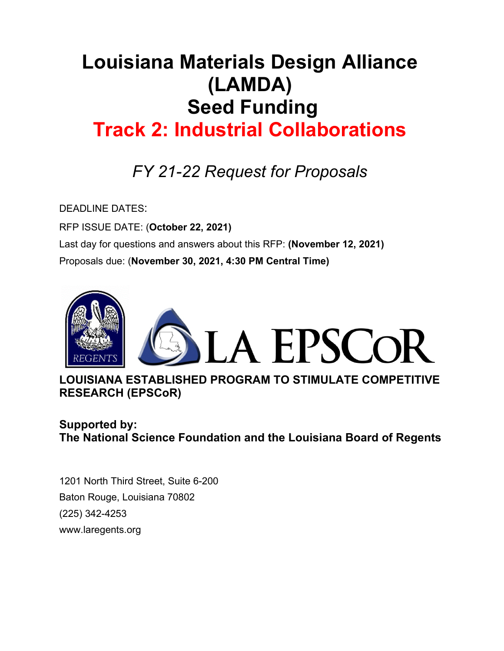# **Louisiana Materials Design Alliance (LAMDA) Seed Funding Track 2: Industrial Collaborations**

# *FY 21-22 Request for Proposals*

DEADLINE DATES:

RFP ISSUE DATE: (**October 22, 2021)** Last day for questions and answers about this RFP: **(November 12, 2021)** Proposals due: (**November 30, 2021, 4:30 PM Central Time)**



**LOUISIANA ESTABLISHED PROGRAM TO STIMULATE COMPETITIVE RESEARCH (EPSCoR)**

## **Supported by: The National Science Foundation and the Louisiana Board of Regents**

1201 North Third Street, Suite 6-200 Baton Rouge, Louisiana 70802 (225) 342-4253 www.laregents.org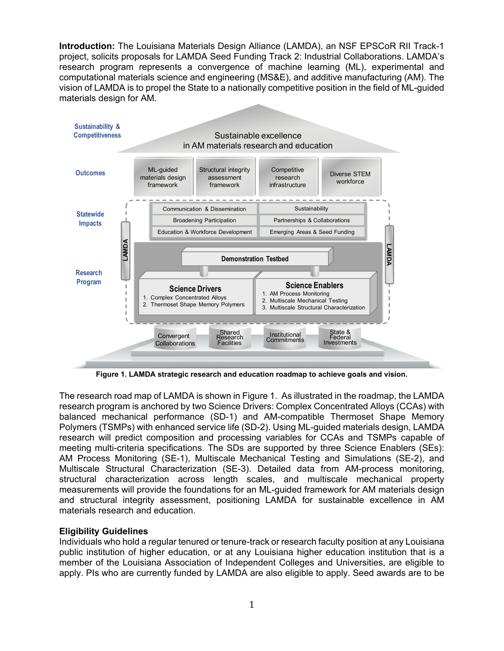**Introduction:** The Louisiana Materials Design Alliance (LAMDA), an NSF EPSCoR RII Track-1 project, solicits proposals for LAMDA Seed Funding Track 2: Industrial Collaborations. LAMDA's research program represents a convergence of machine learning (ML), experimental and computational materials science and engineering (MS&E), and additive manufacturing (AM). The vision of LAMDA is to propel the State to a nationally competitive position in the field of ML-guided materials design for AM.



**Figure 1. LAMDA strategic research and education roadmap to achieve goals and vision.**

The research road map of LAMDA is shown in Figure 1. As illustrated in the roadmap, the LAMDA research program is anchored by two Science Drivers: Complex Concentrated Alloys (CCAs) with balanced mechanical performance (SD-1) and AM-compatible Thermoset Shape Memory Polymers (TSMPs) with enhanced service life (SD-2). Using ML-guided materials design, LAMDA research will predict composition and processing variables for CCAs and TSMPs capable of meeting multi-criteria specifications. The SDs are supported by three Science Enablers (SEs): AM Process Monitoring (SE-1), Multiscale Mechanical Testing and Simulations (SE-2), and Multiscale Structural Characterization (SE-3). Detailed data from AM-process monitoring, structural characterization across length scales, and multiscale mechanical property measurements will provide the foundations for an ML-guided framework for AM materials design and structural integrity assessment, positioning LAMDA for sustainable excellence in AM materials research and education.

#### **Eligibility Guidelines**

Individuals who hold a regular tenured or tenure-track or research faculty position at any Louisiana public institution of higher education, or at any Louisiana higher education institution that is a member of the Louisiana Association of Independent Colleges and Universities, are eligible to apply. PIs who are currently funded by LAMDA are also eligible to apply. Seed awards are to be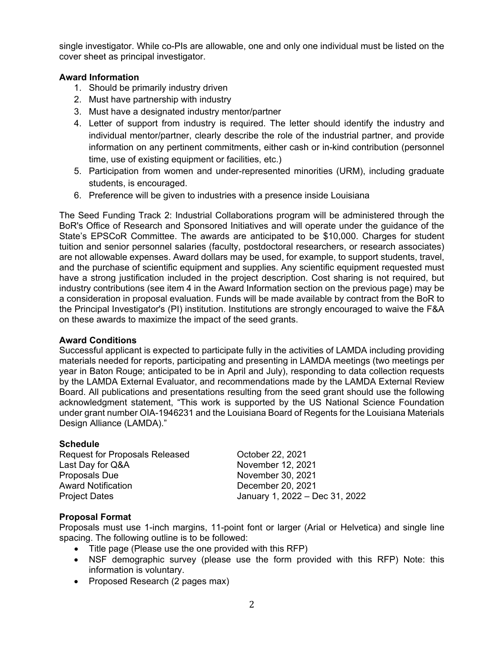single investigator. While co-PIs are allowable, one and only one individual must be listed on the cover sheet as principal investigator.

#### **Award Information**

- 1. Should be primarily industry driven
- 2. Must have partnership with industry
- 3. Must have a designated industry mentor/partner
- 4. Letter of support from industry is required. The letter should identify the industry and individual mentor/partner, clearly describe the role of the industrial partner, and provide information on any pertinent commitments, either cash or in-kind contribution (personnel time, use of existing equipment or facilities, etc.)
- 5. Participation from women and under-represented minorities (URM), including graduate students, is encouraged.
- 6. Preference will be given to industries with a presence inside Louisiana

The Seed Funding Track 2: Industrial Collaborations program will be administered through the BoR's Office of Research and Sponsored Initiatives and will operate under the guidance of the State's EPSCoR Committee. The awards are anticipated to be \$10,000. Charges for student tuition and senior personnel salaries (faculty, postdoctoral researchers, or research associates) are not allowable expenses. Award dollars may be used, for example, to support students, travel, and the purchase of scientific equipment and supplies. Any scientific equipment requested must have a strong justification included in the project description. Cost sharing is not required, but industry contributions (see item 4 in the Award Information section on the previous page) may be a consideration in proposal evaluation. Funds will be made available by contract from the BoR to the Principal Investigator's (PI) institution. Institutions are strongly encouraged to waive the F&A on these awards to maximize the impact of the seed grants.

#### **Award Conditions**

Successful applicant is expected to participate fully in the activities of LAMDA including providing materials needed for reports, participating and presenting in LAMDA meetings (two meetings per year in Baton Rouge; anticipated to be in April and July), responding to data collection requests by the LAMDA External Evaluator, and recommendations made by the LAMDA External Review Board. All publications and presentations resulting from the seed grant should use the following acknowledgment statement, "This work is supported by the US National Science Foundation under grant number OIA-1946231 and the Louisiana Board of Regents for the Louisiana Materials Design Alliance (LAMDA)."

#### **Schedule**

| October 22, 2021               |
|--------------------------------|
| November 12, 2021              |
| November 30, 2021              |
| December 20, 2021              |
| January 1, 2022 - Dec 31, 2022 |
|                                |

#### **Proposal Format**

Proposals must use 1-inch margins, 11-point font or larger (Arial or Helvetica) and single line spacing. The following outline is to be followed:

- Title page (Please use the one provided with this RFP)
- NSF demographic survey (please use the form provided with this RFP) Note: this information is voluntary.
- Proposed Research (2 pages max)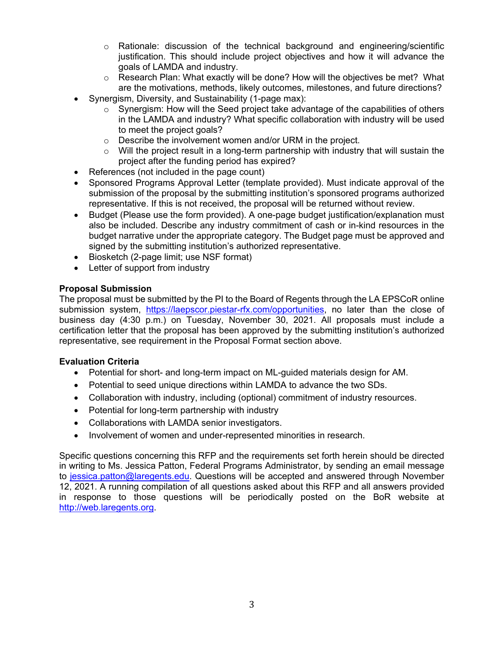- $\circ$  Rationale: discussion of the technical background and engineering/scientific justification. This should include project objectives and how it will advance the goals of LAMDA and industry.
- o Research Plan: What exactly will be done? How will the objectives be met? What are the motivations, methods, likely outcomes, milestones, and future directions?
- Synergism, Diversity, and Sustainability (1-page max):
	- $\circ$  Synergism: How will the Seed project take advantage of the capabilities of others in the LAMDA and industry? What specific collaboration with industry will be used to meet the project goals?
	- o Describe the involvement women and/or URM in the project.
	- $\circ$  Will the project result in a long-term partnership with industry that will sustain the project after the funding period has expired?
- References (not included in the page count)
- Sponsored Programs Approval Letter (template provided). Must indicate approval of the submission of the proposal by the submitting institution's sponsored programs authorized representative. If this is not received, the proposal will be returned without review.
- Budget (Please use the form provided). A one-page budget justification/explanation must also be included. Describe any industry commitment of cash or in-kind resources in the budget narrative under the appropriate category. The Budget page must be approved and signed by the submitting institution's authorized representative.
- Biosketch (2-page limit; use NSF format)
- Letter of support from industry

#### **Proposal Submission**

The proposal must be submitted by the PI to the Board of Regents through the LA EPSCoR online submission system, [https://laepscor.piestar-rfx.com/opportunities,](https://laepscor.piestar-rfx.com/opportunities) no later than the close of business day (4:30 p.m.) on Tuesday, November 30, 2021. All proposals must include a certification letter that the proposal has been approved by the submitting institution's authorized representative, see requirement in the Proposal Format section above.

#### **Evaluation Criteria**

- Potential for short- and long-term impact on ML-guided materials design for AM.
- Potential to seed unique directions within LAMDA to advance the two SDs.
- Collaboration with industry, including (optional) commitment of industry resources.
- Potential for long-term partnership with industry
- Collaborations with LAMDA senior investigators.
- Involvement of women and under-represented minorities in research.

Specific questions concerning this RFP and the requirements set forth herein should be directed in writing to Ms. Jessica Patton, Federal Programs Administrator, by sending an email message to [jessica.patton@laregents.e](mailto:jessica.patton@laregents.)du. Questions will be accepted and answered through November 12, 2021. A running compilation of all questions asked about this RFP and all answers provided in response to those questions will be periodically posted on the BoR website at [http://web.laregents.org.](http://web.laregents.org/)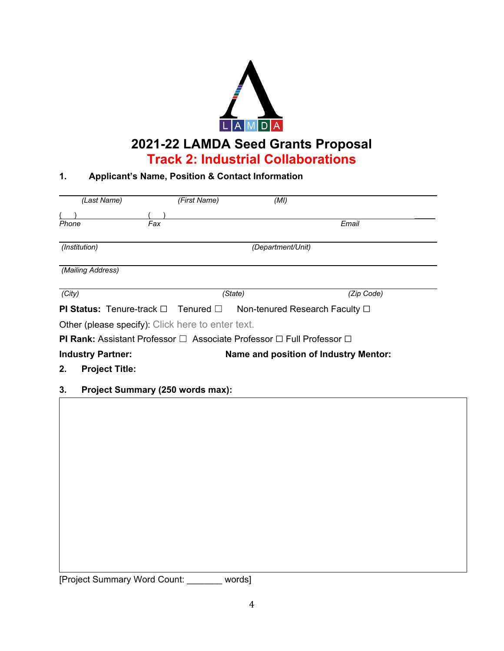

## **2021-22 LAMDA Seed Grants Proposal Track 2: Industrial Collaborations**

### **1. Applicant's Name, Position & Contact Information**

| (Last Name)                                                       | (First Name)      | (MI)                                                                                        |                                |  |  |  |  |  |
|-------------------------------------------------------------------|-------------------|---------------------------------------------------------------------------------------------|--------------------------------|--|--|--|--|--|
|                                                                   |                   |                                                                                             |                                |  |  |  |  |  |
| Phone                                                             | Fax               |                                                                                             | Email                          |  |  |  |  |  |
| (Institution)                                                     | (Department/Unit) |                                                                                             |                                |  |  |  |  |  |
| (Mailing Address)                                                 |                   |                                                                                             |                                |  |  |  |  |  |
| (City)                                                            |                   | (State)                                                                                     | (Zip Code)                     |  |  |  |  |  |
| <b>PI Status:</b> Tenure-track $\Box$ Tenured $\Box$              |                   |                                                                                             | Non-tenured Research Faculty □ |  |  |  |  |  |
| <b>Other (please specify):</b> Click here to enter text.          |                   |                                                                                             |                                |  |  |  |  |  |
|                                                                   |                   | <b>PI Rank:</b> Assistant Professor $\Box$ Associate Professor $\Box$ Full Professor $\Box$ |                                |  |  |  |  |  |
| Name and position of Industry Mentor:<br><b>Industry Partner:</b> |                   |                                                                                             |                                |  |  |  |  |  |

- **2. Project Title:**
- **3. Project Summary (250 words max):**

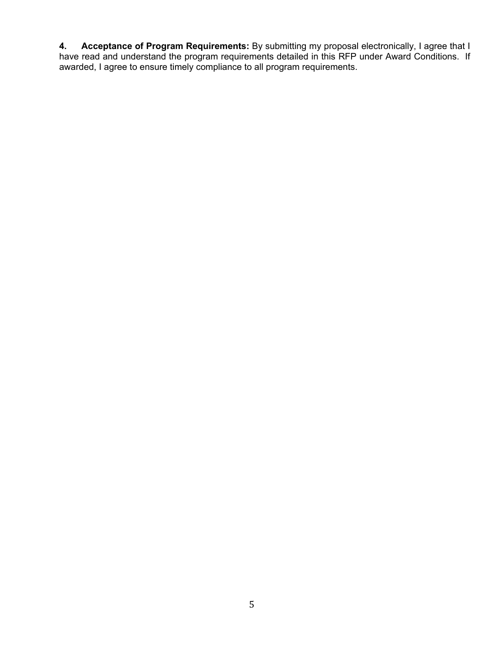**4. Acceptance of Program Requirements:** By submitting my proposal electronically, I agree that I have read and understand the program requirements detailed in this RFP under Award Conditions. If awarded, I agree to ensure timely compliance to all program requirements.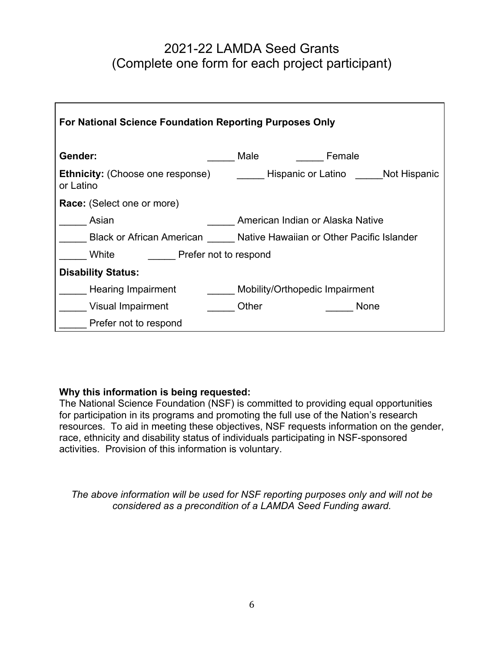## 2021-22 LAMDA Seed Grants (Complete one form for each project participant)

| <b>For National Science Foundation Reporting Purposes Only</b>         |                                    |  |  |  |  |  |  |  |  |  |
|------------------------------------------------------------------------|------------------------------------|--|--|--|--|--|--|--|--|--|
| Gender:                                                                | Male<br>Female                     |  |  |  |  |  |  |  |  |  |
| <b>Ethnicity:</b> (Choose one response)<br>or Latino                   | Hispanic or Latino<br>Not Hispanic |  |  |  |  |  |  |  |  |  |
| Race: (Select one or more)                                             |                                    |  |  |  |  |  |  |  |  |  |
| Asian                                                                  | American Indian or Alaska Native   |  |  |  |  |  |  |  |  |  |
| Black or African American<br>Native Hawaiian or Other Pacific Islander |                                    |  |  |  |  |  |  |  |  |  |
| White<br>Prefer not to respond                                         |                                    |  |  |  |  |  |  |  |  |  |
| <b>Disability Status:</b>                                              |                                    |  |  |  |  |  |  |  |  |  |
| Mobility/Orthopedic Impairment<br>Hearing Impairment                   |                                    |  |  |  |  |  |  |  |  |  |
| Visual Impairment                                                      | Other<br>None                      |  |  |  |  |  |  |  |  |  |
| Prefer not to respond                                                  |                                    |  |  |  |  |  |  |  |  |  |

### **Why this information is being requested:**

The National Science Foundation (NSF) is committed to providing equal opportunities for participation in its programs and promoting the full use of the Nation's research resources. To aid in meeting these objectives, NSF requests information on the gender, race, ethnicity and disability status of individuals participating in NSF-sponsored activities. Provision of this information is voluntary.

*The above information will be used for NSF reporting purposes only and will not be considered as a precondition of a LAMDA Seed Funding award.*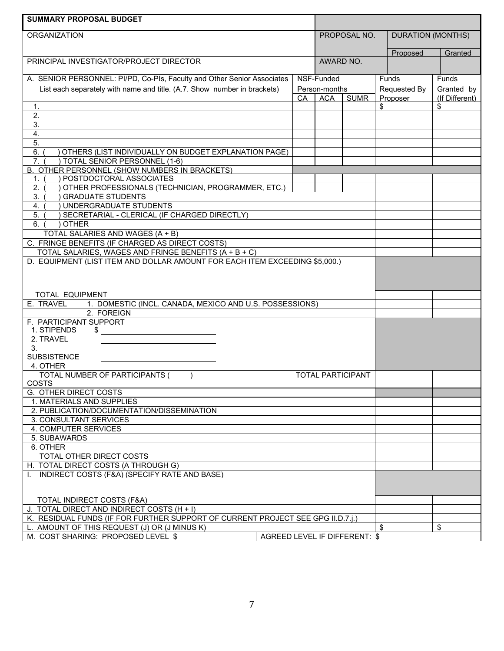| <b>SUMMARY PROPOSAL BUDGET</b>                                                                                                       |                               |    |               |                          |    |                          |                      |
|--------------------------------------------------------------------------------------------------------------------------------------|-------------------------------|----|---------------|--------------------------|----|--------------------------|----------------------|
| <b>ORGANIZATION</b>                                                                                                                  |                               |    | PROPOSAL NO.  |                          |    | <b>DURATION (MONTHS)</b> |                      |
|                                                                                                                                      |                               |    |               |                          |    |                          |                      |
| PRINCIPAL INVESTIGATOR/PROJECT DIRECTOR                                                                                              |                               |    | AWARD NO.     |                          |    | Proposed                 | Granted              |
|                                                                                                                                      |                               |    |               |                          |    |                          |                      |
| A. SENIOR PERSONNEL: PI/PD, Co-PIs, Faculty and Other Senior Associates                                                              |                               |    | NSF-Funded    |                          |    | Funds                    | Funds                |
| List each separately with name and title. (A.7. Show number in brackets)                                                             |                               |    | Person-months |                          |    | Requested By             | Granted by           |
| 1.                                                                                                                                   |                               | СA | <b>ACA</b>    | <b>SUMR</b>              | \$ | Proposer                 | (If Different)<br>\$ |
| $\overline{2}$ .                                                                                                                     |                               |    |               |                          |    |                          |                      |
| 3.                                                                                                                                   |                               |    |               |                          |    |                          |                      |
| $\overline{4}$ .                                                                                                                     |                               |    |               |                          |    |                          |                      |
| 5.                                                                                                                                   |                               |    |               |                          |    |                          |                      |
| 6.<br>OTHERS (LIST INDIVIDUALLY ON BUDGET EXPLANATION PAGE)                                                                          |                               |    |               |                          |    |                          |                      |
| TOTAL SENIOR PERSONNEL (1-6)<br>7 <sub>1</sub>                                                                                       |                               |    |               |                          |    |                          |                      |
| B. OTHER PERSONNEL (SHOW NUMBERS IN BRACKETS)<br>POSTDOCTORAL ASSOCIATES<br>1.                                                       |                               |    |               |                          |    |                          |                      |
| OTHER PROFESSIONALS (TECHNICIAN, PROGRAMMER, ETC.)<br>2.                                                                             |                               |    |               |                          |    |                          |                      |
| 3.<br><b>GRADUATE STUDENTS</b>                                                                                                       |                               |    |               |                          |    |                          |                      |
| UNDERGRADUATE STUDENTS<br>4.                                                                                                         |                               |    |               |                          |    |                          |                      |
| SECRETARIAL - CLERICAL (IF CHARGED DIRECTLY)<br>5.                                                                                   |                               |    |               |                          |    |                          |                      |
| <b>OTHER</b><br>6.                                                                                                                   |                               |    |               |                          |    |                          |                      |
| TOTAL SALARIES AND WAGES (A + B)                                                                                                     |                               |    |               |                          |    |                          |                      |
| C. FRINGE BENEFITS (IF CHARGED AS DIRECT COSTS)                                                                                      |                               |    |               |                          |    |                          |                      |
| TOTAL SALARIES, WAGES AND FRINGE BENEFITS (A + B + C)<br>D. EQUIPMENT (LIST ITEM AND DOLLAR AMOUNT FOR EACH ITEM EXCEEDING \$5,000.) |                               |    |               |                          |    |                          |                      |
|                                                                                                                                      |                               |    |               |                          |    |                          |                      |
|                                                                                                                                      |                               |    |               |                          |    |                          |                      |
|                                                                                                                                      |                               |    |               |                          |    |                          |                      |
| TOTAL EQUIPMENT                                                                                                                      |                               |    |               |                          |    |                          |                      |
| E. TRAVEL<br>1. DOMESTIC (INCL. CANADA, MEXICO AND U.S. POSSESSIONS)<br>2. FOREIGN                                                   |                               |    |               |                          |    |                          |                      |
| F. PARTICIPANT SUPPORT                                                                                                               |                               |    |               |                          |    |                          |                      |
| 1. STIPENDS<br>\$                                                                                                                    |                               |    |               |                          |    |                          |                      |
| 2. TRAVEL                                                                                                                            |                               |    |               |                          |    |                          |                      |
| 3.                                                                                                                                   |                               |    |               |                          |    |                          |                      |
| <b>SUBSISTENCE</b>                                                                                                                   |                               |    |               |                          |    |                          |                      |
| 4. OTHER<br>TOTAL NUMBER OF PARTICIPANTS (                                                                                           |                               |    |               | <b>TOTAL PARTICIPANT</b> |    |                          |                      |
| COSTS                                                                                                                                |                               |    |               |                          |    |                          |                      |
| G. OTHER DIRECT COSTS                                                                                                                |                               |    |               |                          |    |                          |                      |
| 1. MATERIALS AND SUPPLIES                                                                                                            |                               |    |               |                          |    |                          |                      |
| 2. PUBLICATION/DOCUMENTATION/DISSEMINATION                                                                                           |                               |    |               |                          |    |                          |                      |
| 3. CONSULTANT SERVICES                                                                                                               |                               |    |               |                          |    |                          |                      |
| 4. COMPUTER SERVICES<br>5. SUBAWARDS                                                                                                 |                               |    |               |                          |    |                          |                      |
| 6. OTHER                                                                                                                             |                               |    |               |                          |    |                          |                      |
| TOTAL OTHER DIRECT COSTS                                                                                                             |                               |    |               |                          |    |                          |                      |
| H. TOTAL DIRECT COSTS (A THROUGH G)                                                                                                  |                               |    |               |                          |    |                          |                      |
| I. INDIRECT COSTS (F&A) (SPECIFY RATE AND BASE)                                                                                      |                               |    |               |                          |    |                          |                      |
|                                                                                                                                      |                               |    |               |                          |    |                          |                      |
| TOTAL INDIRECT COSTS (F&A)                                                                                                           |                               |    |               |                          |    |                          |                      |
| J. TOTAL DIRECT AND INDIRECT COSTS (H + I)                                                                                           |                               |    |               |                          |    |                          |                      |
| K. RESIDUAL FUNDS (IF FOR FURTHER SUPPORT OF CURRENT PROJECT SEE GPG II.D.7.1.)                                                      |                               |    |               |                          |    |                          |                      |
| L. AMOUNT OF THIS REQUEST (J) OR (J MINUS K)                                                                                         |                               |    |               |                          | \$ |                          | \$                   |
| M. COST SHARING: PROPOSED LEVEL \$                                                                                                   | AGREED LEVEL IF DIFFERENT: \$ |    |               |                          |    |                          |                      |